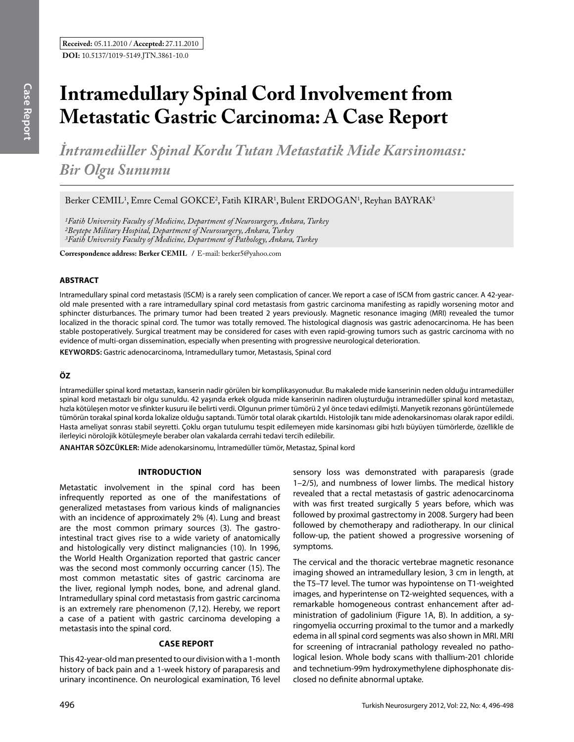*İntramedüller Spinal Kordu Tutan Metastatik Mide Karsinoması: Bir Olgu Sunumu* 

Berker CEMIL<sup>1</sup>, Emre Cemal GOKCE<sup>2</sup>, Fatih KIRAR<sup>1</sup>, Bulent ERDOGAN<sup>1</sup>, Reyhan BAYRAK<sup>3</sup>

*1Fatih University Faculty of Medicine, Department of Neurosurgery, Ankara, Turkey 2Beytepe Military Hospital, Department of Neurosurgery, Ankara, Turkey 3Fatih University Faculty of Medicine, Department of Pathology, Ankara, Turkey*

**Correspondence address: Berker Cemıl /** E-mail: berker5@yahoo.com

# **ABSTRACT**

Intramedullary spinal cord metastasis (ISCM) is a rarely seen complication of cancer. We report a case of ISCM from gastric cancer. A 42-yearold male presented with a rare intramedullary spinal cord metastasis from gastric carcinoma manifesting as rapidly worsening motor and sphincter disturbances. The primary tumor had been treated 2 years previously. Magnetic resonance imaging (MRI) revealed the tumor localized in the thoracic spinal cord. The tumor was totally removed. The histological diagnosis was gastric adenocarcinoma. He has been stable postoperatively. Surgical treatment may be considered for cases with even rapid-growing tumors such as gastric carcinoma with no evidence of multi-organ dissemination, especially when presenting with progressive neurological deterioration.

**Keywords:** Gastric adenocarcinoma, Intramedullary tumor, Metastasis, Spinal cord

# **ÖZ**

İntramedüller spinal kord metastazı, kanserin nadir görülen bir komplikasyonudur. Bu makalede mide kanserinin neden olduğu intramedüller spinal kord metastazlı bir olgu sunuldu. 42 yaşında erkek olguda mide kanserinin nadiren oluşturduğu intramedüller spinal kord metastazı, hızla kötüleşen motor ve sfinkter kusuru ile belirti verdi. Olgunun primer tümörü 2 yıl önce tedavi edilmişti. Manyetik rezonans görüntülemede tümörün torakal spinal korda lokalize olduğu saptandı. Tümör total olarak çıkartıldı. Histolojik tanı mide adenokarsinoması olarak rapor edildi. Hasta ameliyat sonrası stabil seyretti. Çoklu organ tutulumu tespit edilemeyen mide karsinoması gibi hızlı büyüyen tümörlerde, özellikle de ilerleyici nörolojik kötüleşmeyle beraber olan vakalarda cerrahi tedavi tercih edilebilir.

**ANAHTAR SÖZCÜKLER:** Mide adenokarsinomu, İntramedüller tümör, Metastaz, Spinal kord

# **Introductıon**

Metastatic involvement in the spinal cord has been infrequently reported as one of the manifestations of generalized metastases from various kinds of malignancies with an incidence of approximately 2% (4). Lung and breast are the most common primary sources (3). The gastrointestinal tract gives rise to a wide variety of anatomically and histologically very distinct malignancies (10). In 1996, the World Health Organization reported that gastric cancer was the second most commonly occurring cancer (15). The most common metastatic sites of gastric carcinoma are the liver, regional lymph nodes, bone, and adrenal gland. Intramedullary spinal cord metastasis from gastric carcinoma is an extremely rare phenomenon (7,12). Hereby, we report a case of a patient with gastric carcinoma developing a metastasis into the spinal cord.

# **Case report**

This 42-year-old man presented to our division with a 1-month history of back pain and a 1-week history of paraparesis and urinary incontinence. On neurological examination, T6 level

sensory loss was demonstrated with paraparesis (grade 1–2/5), and numbness of lower limbs. The medical history revealed that a rectal metastasis of gastric adenocarcinoma with was first treated surgically 5 years before, which was followed by proximal gastrectomy in 2008. Surgery had been followed by chemotherapy and radiotherapy. In our clinical follow-up, the patient showed a progressive worsening of symptoms.

The cervical and the thoracic vertebrae magnetic resonance imaging showed an intramedullary lesion, 3 cm in length, at the T5–T7 level. The tumor was hypointense on T1-weighted images, and hyperintense on T2-weighted sequences, with a remarkable homogeneous contrast enhancement after administration of gadolinium (Figure 1A, B). In addition, a syringomyelia occurring proximal to the tumor and a markedly edema in all spinal cord segments was also shown in MRI. MRI for screening of intracranial pathology revealed no pathological lesion. Whole body scans with thallium-201 chloride and technetium-99m hydroxymethylene diphosphonate disclosed no definite abnormal uptake.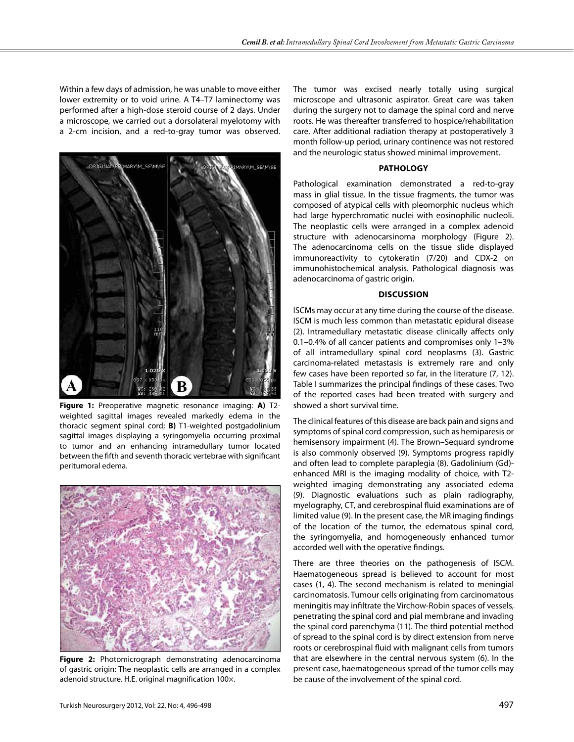Within a few days of admission, he was unable to move either lower extremity or to void urine. A T4–T7 laminectomy was performed after a high-dose steroid course of 2 days. Under a microscope, we carried out a dorsolateral myelotomy with a 2-cm incision, and a red-to-gray tumor was observed.



**Figure 1:** Preoperative magnetic resonance imaging: **A)** T2 weighted sagittal images revealed markedly edema in the thoracic segment spinal cord; **B)** T1-weighted postgadolinium sagittal images displaying a syringomyelia occurring proximal to tumor and an enhancing intramedullary tumor located between the fifth and seventh thoracic vertebrae with significant peritumoral edema.



**Figure 2:** Photomicrograph demonstrating adenocarcinoma of gastric origin: The neoplastic cells are arranged in a complex adenoid structure. H.E. original magnification 100×.

The tumor was excised nearly totally using surgical microscope and ultrasonic aspirator. Great care was taken during the surgery not to damage the spinal cord and nerve roots. He was thereafter transferred to hospice/rehabilitation care. After additional radiation therapy at postoperatively 3 month follow-up period, urinary continence was not restored and the neurologic status showed minimal improvement.

### **Pathology**

Pathological examination demonstrated a red-to-gray mass in glial tissue. In the tissue fragments, the tumor was composed of atypical cells with pleomorphic nucleus which had large hyperchromatic nuclei with eosinophilic nucleoli. The neoplastic cells were arranged in a complex adenoid structure with adenocarsinoma morphology (Figure 2). The adenocarcinoma cells on the tissue slide displayed immunoreactivity to cytokeratin (7/20) and CDX-2 on immunohistochemical analysis. Pathological diagnosis was adenocarcinoma of gastric origin.

# **Discussion**

ISCMs may occur at any time during the course of the disease. ISCM is much less common than metastatic epidural disease (2). Intramedullary metastatic disease clinically affects only 0.1–0.4% of all cancer patients and compromises only 1–3% of all intramedullary spinal cord neoplasms (3). Gastric carcinoma-related metastasis is extremely rare and only few cases have been reported so far, in the literature (7, 12). Table I summarizes the principal findings of these cases. Two of the reported cases had been treated with surgery and showed a short survival time.

The clinical features of this disease are back pain and signs and symptoms of spinal cord compression, such as hemiparesis or hemisensory impairment (4). The Brown–Sequard syndrome is also commonly observed (9). Symptoms progress rapidly and often lead to complete paraplegia (8). Gadolinium (Gd) enhanced MRI is the imaging modality of choice, with T2 weighted imaging demonstrating any associated edema (9). Diagnostic evaluations such as plain radiography, myelography, CT, and cerebrospinal fluid examinations are of limited value (9). In the present case, the MR imaging findings of the location of the tumor, the edematous spinal cord, the syringomyelia, and homogeneously enhanced tumor accorded well with the operative findings.

There are three theories on the pathogenesis of ISCM. Haematogeneous spread is believed to account for most cases (1, 4). The second mechanism is related to meningial carcinomatosis. Tumour cells originating from carcinomatous meningitis may infiltrate the Virchow-Robin spaces of vessels, penetrating the spinal cord and pial membrane and invading the spinal cord parenchyma (11). The third potential method of spread to the spinal cord is by direct extension from nerve roots or cerebrospinal fluid with malignant cells from tumors that are elsewhere in the central nervous system (6). In the present case, haematogeneous spread of the tumor cells may be cause of the involvement of the spinal cord.